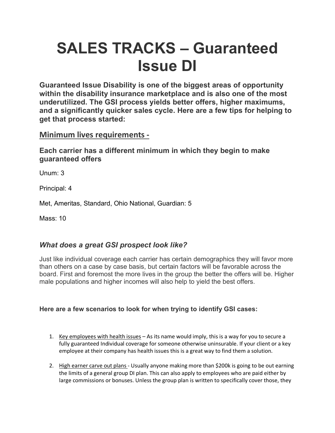# **SALES TRACKS – Guaranteed Issue DI**

**Guaranteed Issue Disability is one of the biggest areas of opportunity within the disability insurance marketplace and is also one of the most underutilized. The GSI process yields better offers, higher maximums, and a significantly quicker sales cycle. Here are a few tips for helping to get that process started:**

## **Minimum lives requirements -**

**Each carrier has a different minimum in which they begin to make guaranteed offers**

Unum: 3

Principal: 4

Met, Ameritas, Standard, Ohio National, Guardian: 5

Mass: 10

## *What does a great GSI prospect look like?*

Just like individual coverage each carrier has certain demographics they will favor more than others on a case by case basis, but certain factors will be favorable across the board. First and foremost the more lives in the group the better the offers will be. Higher male populations and higher incomes will also help to yield the best offers.

### **Here are a few scenarios to look for when trying to identify GSI cases:**

- 1. Key employees with health issues As its name would imply, this is a way for you to secure a fully guaranteed Individual coverage for someone otherwise uninsurable. If your client or a key employee at their company has health issues this is a great way to find them a solution.
- 2. High earner carve out plans Usually anyone making more than \$200k is going to be out earning the limits of a general group DI plan. This can also apply to employees who are paid either by large commissions or bonuses. Unless the group plan is written to specifically cover those, they